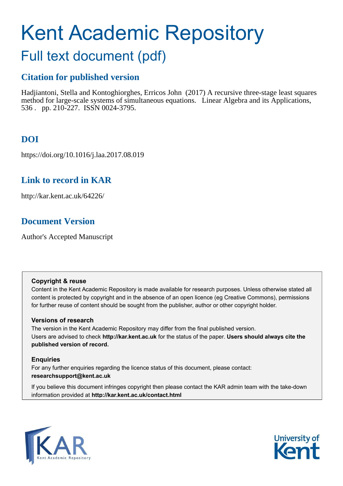# Kent Academic Repository

# Full text document (pdf)

# **Citation for published version**

Hadjiantoni, Stella and Kontoghiorghes, Erricos John (2017) A recursive three-stage least squares method for large-scale systems of simultaneous equations. Linear Algebra and its Applications, 536 . pp. 210-227. ISSN 0024-3795.

# **DOI**

https://doi.org/10.1016/j.laa.2017.08.019

# **Link to record in KAR**

http://kar.kent.ac.uk/64226/

# **Document Version**

Author's Accepted Manuscript

#### **Copyright & reuse**

Content in the Kent Academic Repository is made available for research purposes. Unless otherwise stated all content is protected by copyright and in the absence of an open licence (eg Creative Commons), permissions for further reuse of content should be sought from the publisher, author or other copyright holder.

#### **Versions of research**

The version in the Kent Academic Repository may differ from the final published version. Users are advised to check **http://kar.kent.ac.uk** for the status of the paper. **Users should always cite the published version of record.**

#### **Enquiries**

For any further enquiries regarding the licence status of this document, please contact: **researchsupport@kent.ac.uk**

<span id="page-0-1"></span>If you believe this document infringes copyright then please contact the KAR admin team with the take-down information provided at **http://kar.kent.ac.uk/contact.html**

<span id="page-0-0"></span>

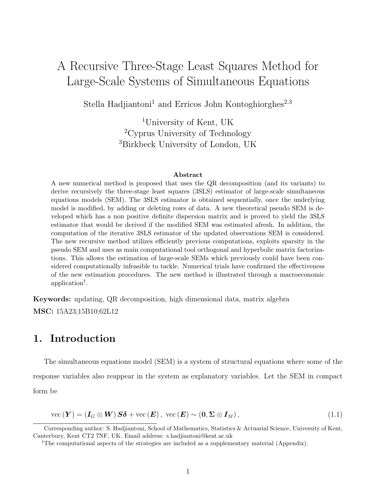# A Recursive Three-Stage Least Squares Method for Large-Scale Systems of Simultaneous Equations

Stella Hadjiantoni<sup>1</sup> and Erricos John Kontoghiorghes<sup>2,3</sup>

<sup>1</sup>University of Kent, UK <sup>2</sup>Cyprus University of Technology <sup>3</sup>Birkbeck University of London, UK

#### Abstract

A new numerical method is proposed that uses the QR decomposition (and its variants) to derive recursively the three-stage least squares (3SLS) estimator of large-scale simultaneous equations models (SEM). The 3SLS estimator is obtained sequentially, once the underlying model is modified, by adding or deleting rows of data. A new theoretical pseudo SEM is developed which has a non positive definite dispersion matrix and is proved to yield the 3SLS estimator that would be derived if the modified SEM was estimated afresh. In addition, the computation of the iterative 3SLS estimator of the updated observations SEM is considered. The new recursive method utilizes efficiently previous computations, exploits sparsity in the pseudo SEM and uses as main computational tool orthogonal and hyperbolic matrix factorizations. This allows the estimation of large-scale SEMs which previously could have been considered computationally infeasible to tackle. Numerical trials have confirmed the effectiveness of the new estimation procedures. The new method is illustrated through a macroeconomic application[†](#page-0-0) .

Keywords: updating, QR decomposition, high dimensional data, matrix algebra MSC: 15A23;15B10;62L12

## 1. Introduction

<span id="page-1-0"></span>The simultaneous equations model (SEM) is a system of structural equations where some of the response variables also reappear in the system as explanatory variables. Let the SEM in compact form be

$$
\text{vec}\left(\boldsymbol{Y}\right) = \left(\boldsymbol{I}_G \otimes \boldsymbol{W}\right) \boldsymbol{S} \boldsymbol{\delta} + \text{vec}\left(\boldsymbol{E}\right), \ \text{vec}\left(\boldsymbol{E}\right) \sim \left(\boldsymbol{0}, \boldsymbol{\Sigma} \otimes \boldsymbol{I}_M\right),\tag{1.1}
$$

<span id="page-1-1"></span>Corresponding author: S. Hadjiantoni, School of Mathematics, Statistics & Actuarial Science, University of Kent, Canterbury, Kent CT2 7NF, UK. Email address: s.hadjiantoni@kent.ac.uk

<sup>&</sup>lt;sup>†</sup>The computational aspects of the strategies are included as a supplementary material (Appendix).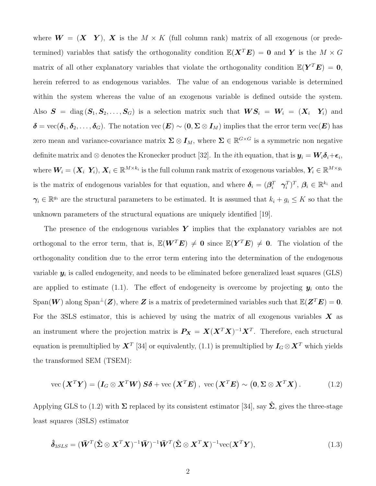where  $W = (X \ Y)$ , X is the  $M \times K$  (full column rank) matrix of all exogenous (or predetermined) variables that satisfy the orthogonality condition  $\mathbb{E}(\mathbf{X}^T\mathbf{E}) = \mathbf{0}$  and Y is the  $M \times G$ matrix of all other explanatory variables that violate the orthogonality condition  $\mathbb{E}(Y^T E) = 0$ , herein referred to as endogenous variables. The value of an endogenous variable is determined within the system whereas the value of an exogenous variable is defined outside the system. Also  $S = diag(S_1, S_2, \ldots, S_G)$  is a selection matrix such that  $WS_i = W_i = (X_i Y_i)$  and  $\delta = \text{vec}(\delta_1, \delta_2, \dots, \delta_G)$ . The notation vec  $(E) \sim (0, \Sigma \otimes I_M)$  implies that the error term vec $(E)$  has zero mean and variance-covariance matrix  $\Sigma \otimes I_M$ , where  $\Sigma \in \mathbb{R}^{G \times G}$  is a symmetric non negative definite matrix and  $\otimes$  denotes the Kronecker product [\[32\]](#page-19-0). In the *i*th equation, that is  $y_i = W_i \delta_i + \epsilon_i$ , where  $\bm{W}_i=(\bm{X}_i\;\,\bm{Y}_i),\,\bm{X}_i\in\mathbb{R}^{M\times k_i}$  is the full column rank matrix of exogenous variables,  $\bm{Y}_i\in\mathbb{R}^{M\times g_i}$ is the matrix of endogenous variables for that equation, and where  $\boldsymbol{\delta}_i = (\boldsymbol{\beta}_i^T \quad \boldsymbol{\gamma}_i^T)^T$ ,  $\boldsymbol{\beta}_i \in \mathbb{R}^{k_i}$  and  $\gamma_i \in \mathbb{R}^{g_i}$  are the structural parameters to be estimated. It is assumed that  $k_i + g_i \leq K$  so that the unknown parameters of the structural equations are uniquely identified [\[19\]](#page-18-0).

<span id="page-2-0"></span>The presence of the endogenous variables  $\boldsymbol{Y}$  implies that the explanatory variables are not orthogonal to the error term, that is,  $\mathbb{E}(W^T E) \neq 0$  since  $\mathbb{E}(Y^T E) \neq 0$ . The violation of the orthogonality condition due to the error term entering into the determination of the endogenous variable  $y_i$  is called endogeneity, and needs to be eliminated before generalized least squares (GLS) are applied to estimate [\(1.1\)](#page-0-1). The effect of endogeneity is overcome by projecting  $y_i$  onto the  $\text{Span}(W)$  along  $\text{Span}^{\perp}(Z)$ , where Z is a matrix of predetermined variables such that  $\mathbb{E}(Z^T E) = 0$ . For the 3SLS estimator, this is achieved by using the matrix of all exogenous variables  $\bm{X}$  as an instrument where the projection matrix is  $P_X = X(X^T X)^{-1} X^T$ . Therefore, each structural equation is premultiplied by  $\bm{X}^T$  [\[34\]](#page-19-1) or equivalently, [\(1.1\)](#page-0-1) is premultiplied by  $\bm{I}_G \otimes \bm{X}^T$  which yields the transformed SEM (TSEM):

$$
\text{vec}\left(\boldsymbol{X}^T\boldsymbol{Y}\right) = \left(\boldsymbol{I}_G \otimes \boldsymbol{X}^T\boldsymbol{W}\right)\boldsymbol{S}\boldsymbol{\delta} + \text{vec}\left(\boldsymbol{X}^T\boldsymbol{E}\right), \ \text{vec}\left(\boldsymbol{X}^T\boldsymbol{E}\right) \sim \left(\boldsymbol{0}, \boldsymbol{\Sigma} \otimes \boldsymbol{X}^T\boldsymbol{X}\right). \tag{1.2}
$$

Applying GLS to [\(1.2\)](#page-1-0) with  $\Sigma$  replaced by its consistent estimator [\[34\]](#page-19-1), say  $\hat{\Sigma}$ , gives the three-stage least squares (3SLS) estimator

$$
\hat{\delta}_{3SLS} = (\bar{\boldsymbol{W}}^T (\hat{\boldsymbol{\Sigma}} \otimes \boldsymbol{X}^T \boldsymbol{X})^{-1} \bar{\boldsymbol{W}})^{-1} \bar{\boldsymbol{W}}^T (\hat{\boldsymbol{\Sigma}} \otimes \boldsymbol{X}^T \boldsymbol{X})^{-1} \text{vec}(\boldsymbol{X}^T \boldsymbol{Y}),
$$
\n(1.3)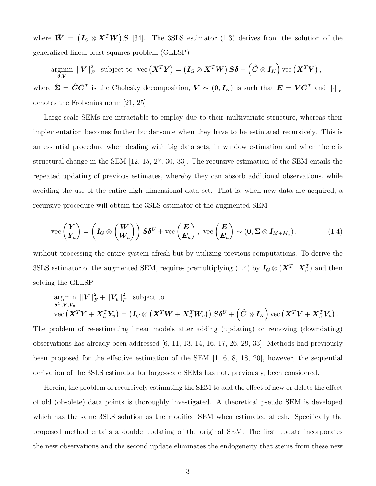where  $\bar{W} = (I_G \otimes X^T W) S$  [\[34\]](#page-19-1). The 3SLS estimator [\(1.3\)](#page-1-1) derives from the solution of the generalized linear least squares problem (GLLSP)

argmin  $\bar{\boldsymbol{\delta}},\boldsymbol{V}$  $\left\Vert \boldsymbol{V}\right\Vert _{F}^{2}$  $\int_{F}^{2} \ \ \text{subject to} \ \ \text{vec}\left(\boldsymbol{X}^{T}\boldsymbol{Y}\right)=\left(\boldsymbol{I}_{G} \otimes \boldsymbol{X}^{T} \boldsymbol{W}\right) \boldsymbol{S} \boldsymbol{\delta}+\left(\boldsymbol{\hat{C}} \otimes \boldsymbol{I}_{K}\right) \text{vec}\left(\boldsymbol{X}^{T} \boldsymbol{V}\right),$ where  $\hat{\Sigma} = \hat{C}\hat{C}^T$  is the Cholesky decomposition,  $V \sim (0, I_K)$  is such that  $E = V\hat{C}^T$  and  $\lVert \cdot \rVert_F$ denotes the Frobenius norm [\[21,](#page-18-1) [25\]](#page-19-2).

Large-scale SEMs are intractable to employ due to their multivariate structure, whereas their implementation becomes further burdensome when they have to be estimated recursively. This is an essential procedure when dealing with big data sets, in window estimation and when there is structural change in the SEM [\[12,](#page-18-2) [15,](#page-18-3) [27,](#page-19-3) [30,](#page-19-4) [33\]](#page-19-5). The recursive estimation of the SEM entails the repeated updating of previous estimates, whereby they can absorb additional observations, while avoiding the use of the entire high dimensional data set. That is, when new data are acquired, a recursive procedure will obtain the 3SLS estimator of the augmented SEM

$$
\text{vec}\begin{pmatrix} \boldsymbol{Y} \\ \boldsymbol{Y}_u \end{pmatrix} = \left(\boldsymbol{I}_G \otimes \begin{pmatrix} \boldsymbol{W} \\ \boldsymbol{W}_u \end{pmatrix}\right) \boldsymbol{S} \boldsymbol{\delta}^U + \text{vec}\begin{pmatrix} \boldsymbol{E} \\ \boldsymbol{E}_u \end{pmatrix}, \quad \text{vec}\begin{pmatrix} \boldsymbol{E} \\ \boldsymbol{E}_u \end{pmatrix} \sim (\boldsymbol{0}, \boldsymbol{\Sigma} \otimes \boldsymbol{I}_{M+M_u}), \tag{1.4}
$$

without processing the entire system afresh but by utilizing previous computations. To derive the 3SLS estimator of the augmented SEM, requires premultiplying [\(1.4\)](#page-2-0) by  $I_G \otimes (\mathbf{X}^T \ \mathbf{X}_u^T)$  and then solving the GLLSP

$$
\operatornamewithlimits{argmin}_{\boldsymbol\delta^U,\boldsymbol V,\boldsymbol V_u}\|\boldsymbol V\|_F^2+\|\boldsymbol V_u\|_F^2\quad\text{subject to}\\ \operatornamewithlimits{vec}\left(\boldsymbol X^T\boldsymbol Y+\boldsymbol X_u^T\boldsymbol Y_u\right)=\left(\boldsymbol I_G\otimes\left(\boldsymbol X^T\boldsymbol W+\boldsymbol X_u^T\boldsymbol W_u\right)\right)\boldsymbol S\boldsymbol \delta^U+\left(\boldsymbol{\hat C}\otimes \boldsymbol I_K\right)\operatorname{vec}\left(\boldsymbol X^T\boldsymbol V+\boldsymbol X_u^T\boldsymbol V_u\right).
$$

<span id="page-3-1"></span>The problem of re-estimating linear models after adding (updating) or removing (downdating) observations has already been addressed [\[6,](#page-17-0) [11,](#page-18-4) [13,](#page-18-5) [14,](#page-18-6) [16,](#page-18-7) [17,](#page-18-8) [26,](#page-19-6) [29,](#page-19-7) [33\]](#page-19-5). Methods had previously been proposed for the effective estimation of the SEM [\[1,](#page-17-1) [6,](#page-17-0) [8,](#page-18-9) [18,](#page-18-10) [20\]](#page-18-11), however, the sequential derivation of the 3SLS estimator for large-scale SEMs has not, previously, been considered.

<span id="page-3-0"></span>Herein, the problem of recursively estimating the SEM to add the effect of new or delete the effect of old (obsolete) data points is thoroughly investigated. A theoretical pseudo SEM is developed which has the same 3SLS solution as the modified SEM when estimated afresh. Specifically the proposed method entails a double updating of the original SEM. The first update incorporates the new observations and the second update eliminates the endogeneity that stems from these new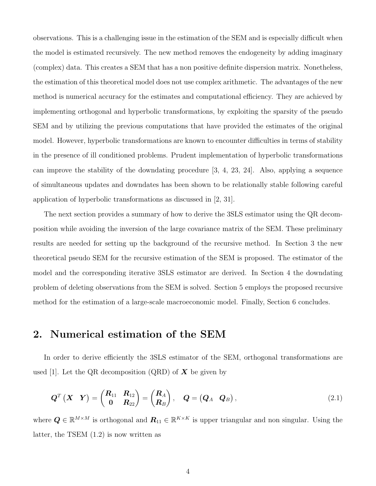<span id="page-4-2"></span><span id="page-4-1"></span>observations. This is a challenging issue in the estimation of the SEM and is especially difficult when the model is estimated recursively. The new method removes the endogeneity by adding imaginary (complex) data. This creates a SEM that has a non positive definite dispersion matrix. Nonetheless, the estimation of this theoretical model does not use complex arithmetic. The advantages of the new method is numerical accuracy for the estimates and computational efficiency. They are achieved by implementing orthogonal and hyperbolic transformations, by exploiting the sparsity of the pseudo SEM and by utilizing the previous computations that have provided the estimates of the original model. However, hyperbolic transformations are known to encounter difficulties in terms of stability in the presence of ill conditioned problems. Prudent implementation of hyperbolic transformations can improve the stability of the downdating procedure [\[3,](#page-17-2) [4,](#page-17-3) [23,](#page-19-8) [24\]](#page-19-9). Also, applying a sequence of simultaneous updates and downdates has been shown to be relationally stable following careful application of hyperbolic transformations as discussed in [\[2,](#page-17-4) [31\]](#page-19-10).

<span id="page-4-4"></span><span id="page-4-3"></span>The next section provides a summary of how to derive the 3SLS estimator using the QR decomposition while avoiding the inversion of the large covariance matrix of the SEM. These preliminary results are needed for setting up the background of the recursive method. In Section [3](#page-4-0) the new theoretical pseudo SEM for the recursive estimation of the SEM is proposed. The estimator of the model and the corresponding iterative 3SLS estimator are derived. In Section [4](#page-12-0) the downdating problem of deleting observations from the SEM is solved. Section [5](#page-14-0) employs the proposed recursive method for the estimation of a large-scale macroeconomic model. Finally, Section [6](#page-16-0) concludes.

#### <span id="page-4-5"></span>2. Numerical estimation of the SEM

In order to derive efficiently the 3SLS estimator of the SEM, orthogonal transformations are used [\[1\]](#page-17-1). Let the QR decomposition (QRD) of  $X$  be given by

$$
\boldsymbol{Q}^T\begin{pmatrix} \boldsymbol{X} & \boldsymbol{Y} \end{pmatrix} = \begin{pmatrix} \boldsymbol{R}_{11} & \boldsymbol{R}_{12} \\ \boldsymbol{0} & \boldsymbol{R}_{22} \end{pmatrix} = \begin{pmatrix} \boldsymbol{R}_A \\ \boldsymbol{R}_B \end{pmatrix}, \quad \boldsymbol{Q} = \begin{pmatrix} \boldsymbol{Q}_A & \boldsymbol{Q}_B \end{pmatrix}, \tag{2.1}
$$

<span id="page-4-0"></span>where  $Q \in \mathbb{R}^{M \times M}$  is orthogonal and  $R_{11} \in \mathbb{R}^{K \times K}$  is upper triangular and non singular. Using the latter, the TSEM [\(1.2\)](#page-1-0) is now written as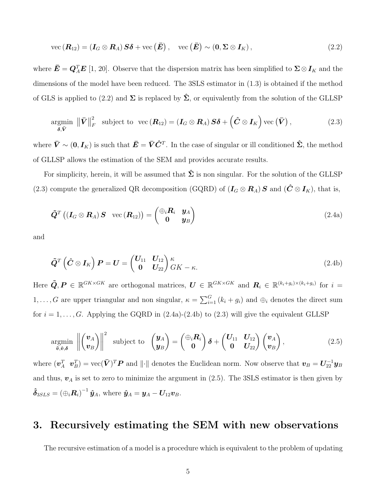$$
\text{vec}\left(\boldsymbol{R}_{12}\right) = \left(\boldsymbol{I}_G \otimes \boldsymbol{R}_A\right) \boldsymbol{S} \boldsymbol{\delta} + \text{vec}\left(\boldsymbol{\bar{E}}\right), \quad \text{vec}\left(\boldsymbol{\bar{E}}\right) \sim \left(\boldsymbol{0}, \boldsymbol{\Sigma} \otimes \boldsymbol{I}_K\right),\tag{2.2}
$$

where  $\bar{E} = Q_A^T E$  [\[1,](#page-17-1) [20\]](#page-18-11). Observe that the dispersion matrix has been simplified to  $\Sigma \otimes I_K$  and the dimensions of the model have been reduced. The 3SLS estimator in [\(1.3\)](#page-1-1) is obtained if the method of GLS is applied to [\(2.2\)](#page-4-1) and  $\Sigma$  is replaced by  $\hat{\Sigma}$ , or equivalently from the solution of the GLLSP

<span id="page-5-4"></span>
$$
\underset{\boldsymbol{\delta}, \bar{\boldsymbol{V}}}{\text{argmin}} \|\bar{\boldsymbol{V}}\|_{F}^{2} \text{ subject to } \text{vec}(\boldsymbol{R}_{12}) = (\boldsymbol{I}_{G} \otimes \boldsymbol{R}_{A}) \boldsymbol{S} \boldsymbol{\delta} + (\hat{\boldsymbol{C}} \otimes \boldsymbol{I}_{K}) \text{vec}(\bar{\boldsymbol{V}}), \qquad (2.3)
$$

where  $\bar{V} \sim (0, I_K)$  is such that  $\bar{E} = \bar{V}\hat{C}^T$ . In the case of singular or ill conditioned  $\hat{\Sigma}$ , the method of GLLSP allows the estimation of the SEM and provides accurate results.

<span id="page-5-2"></span>For simplicity, herein, it will be assumed that  $\hat{\Sigma}$  is non singular. For the solution of the GLLSP [\(2.3\)](#page-4-2) compute the generalized QR decomposition (GQRD) of  $(I_G \otimes R_A)$  S and  $(\hat{C} \otimes I_K)$ , that is,

<span id="page-5-0"></span>
$$
\tilde{\boldsymbol{Q}}^{T}\left(\left(\boldsymbol{I}_{G}\otimes\boldsymbol{R}_{A}\right)\boldsymbol{S}\right)\ \mathrm{vec}\left(\boldsymbol{R}_{12}\right)=\begin{pmatrix}\oplus_{i}\boldsymbol{R}_{i} & \boldsymbol{y}_{A}\\ \boldsymbol{0} & \boldsymbol{y}_{B}\end{pmatrix}\tag{2.4a}
$$

and

$$
\tilde{\boldsymbol{Q}}^T \left( \hat{\boldsymbol{C}} \otimes \boldsymbol{I}_K \right) \boldsymbol{P} = \boldsymbol{U} = \begin{pmatrix} \boldsymbol{U}_{11} & \boldsymbol{U}_{12} \\ \boldsymbol{0} & \boldsymbol{U}_{22} \end{pmatrix} \boldsymbol{\kappa}_{\check{K}} - \boldsymbol{\kappa}.
$$
\n(2.4b)

<span id="page-5-3"></span>Here  $\tilde{Q}, P \in \mathbb{R}^{GK \times GK}$  are orthogonal matrices,  $U \in \mathbb{R}^{GK \times GK}$  and  $R_i \in \mathbb{R}^{(k_i+g_i)\times (k_i+g_i)}$  for  $i=$ 1, ..., G are upper triangular and non singular,  $\kappa = \sum_{i=1}^{G} (k_i + g_i)$  and  $\oplus_i$  denotes the direct sum for  $i = 1, \ldots, G$ . Applying the GQRD in  $(2.4a)-(2.4b)$  $(2.4a)-(2.4b)$  to  $(2.3)$  will give the equivalent GLLSP

<span id="page-5-1"></span>
$$
\underset{\tilde{\boldsymbol{v}},\tilde{\boldsymbol{v}},\delta}{\text{argmin}} \,\left\|\begin{pmatrix} \boldsymbol{v}_A \\ \boldsymbol{v}_B \end{pmatrix}\right\|^2 \text{ subject to } \left(\begin{pmatrix} \boldsymbol{y}_A \\ \boldsymbol{y}_B \end{pmatrix} = \begin{pmatrix} \oplus_i \boldsymbol{R}_i \\ \boldsymbol{0} \end{pmatrix} \boldsymbol{\delta} + \begin{pmatrix} \boldsymbol{U}_{11} & \boldsymbol{U}_{12} \\ \boldsymbol{0} & \boldsymbol{U}_{22} \end{pmatrix} \begin{pmatrix} \boldsymbol{v}_A \\ \boldsymbol{v}_B \end{pmatrix}, \tag{2.5}
$$

where  $(\bm{v}_A^T \ \ \bm{v}_B^T) = \text{vec}(\bar{\bm{V}})^T \bm{P}$  and  $\|\cdot\|$  denotes the Euclidean norm. Now observe that  $\bm{v}_B = \bm{U}_{22}^{-1} \bm{y}_B$ and thus,  $v_A$  is set to zero to minimize the argument in  $(2.5)$ . The 3SLS estimator is then given by  $\hat{\boldsymbol{\delta}}_{3SLS} = \left(\oplus_i \boldsymbol{R}_i\right)^{-1} \hat{\boldsymbol{y}}_A$ , where  $\hat{\boldsymbol{y}}_A = \boldsymbol{y}_A - \boldsymbol{U}_{12} \boldsymbol{v}_B$ .

#### 3. Recursively estimating the SEM with new observations

The recursive estimation of a model is a procedure which is equivalent to the problem of updating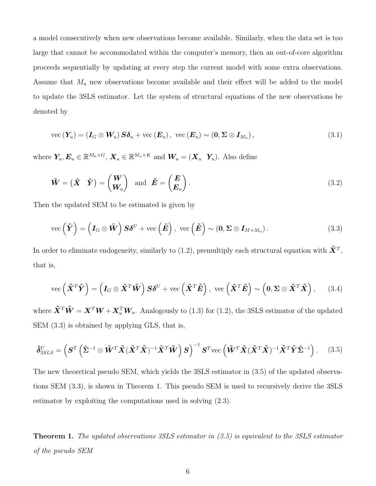a model consecutively when new observations become available. Similarly, when the data set is too large that cannot be accommodated within the computer's memory, then an out-of-core algorithm proceeds sequentially by updating at every step the current model with some extra observations. Assume that  $M_u$  new observations become available and their effect will be added to the model to update the 3SLS estimator. Let the system of structural equations of the new observations be denoted by

<span id="page-6-4"></span>
$$
\text{vec}\left(\boldsymbol{Y}_{u}\right) = \left(\boldsymbol{I}_{G} \otimes \boldsymbol{W}_{u}\right) \boldsymbol{S} \boldsymbol{\delta}_{u} + \text{vec}\left(\boldsymbol{E}_{u}\right), \ \text{vec}\left(\boldsymbol{E}_{u}\right) \sim \left(\boldsymbol{0}, \boldsymbol{\Sigma} \otimes \boldsymbol{I}_{M_{u}}\right),\tag{3.1}
$$

<span id="page-6-0"></span>where  $Y_u, E_u \in \mathbb{R}^{M_u \times G}$ ,  $X_u \in \mathbb{R}^{M_u \times K}$  and  $W_u = (X_u Y_u)$ . Also define

$$
\tilde{\boldsymbol{W}} = \begin{pmatrix} \tilde{\boldsymbol{X}} & \tilde{\boldsymbol{Y}} \end{pmatrix} = \begin{pmatrix} \boldsymbol{W} \\ \boldsymbol{W}_u \end{pmatrix} \text{ and } \tilde{\boldsymbol{E}} = \begin{pmatrix} \boldsymbol{E} \\ \boldsymbol{E}_u \end{pmatrix}.
$$
\n(3.2)

Then the updated SEM to be estimated is given by

$$
\text{vec}\left(\tilde{\boldsymbol{Y}}\right) = \left(\boldsymbol{I}_G \otimes \tilde{\boldsymbol{W}}\right)\boldsymbol{S}\boldsymbol{\delta}^U + \text{vec}\left(\tilde{\boldsymbol{E}}\right), \ \text{vec}\left(\tilde{\boldsymbol{E}}\right) \sim \left(\boldsymbol{0}, \boldsymbol{\Sigma} \otimes \boldsymbol{I}_{M+M_u}\right). \tag{3.3}
$$

In order to eliminate endogeneity, similarly to [\(1.2\)](#page-1-0), premultiply each structural equation with  $\tilde{\bm{X}}^T$ , that is,

<span id="page-6-1"></span>
$$
\text{vec}\left(\tilde{\mathbf{X}}^T\tilde{\mathbf{Y}}\right) = \left(\mathbf{I}_G \otimes \tilde{\mathbf{X}}^T\tilde{\mathbf{W}}\right)\mathbf{S}\boldsymbol{\delta}^U + \text{vec}\left(\tilde{\mathbf{X}}^T\tilde{\mathbf{E}}\right), \ \text{vec}\left(\tilde{\mathbf{X}}^T\tilde{\mathbf{E}}\right) \sim \left(\mathbf{0}, \boldsymbol{\Sigma} \otimes \tilde{\mathbf{X}}^T\tilde{\mathbf{X}}\right), \quad (3.4)
$$

<span id="page-6-2"></span>where  $\tilde{\bm{X}}^T \tilde{\bm{W}} = \bm{X}^T \bm{W} + \bm{X}_u^T \bm{W}_u$ . Analogously to [\(1.3\)](#page-1-1) for [\(1.2\)](#page-1-0), the 3SLS estimator of the updated SEM [\(3.3\)](#page-5-0) is obtained by applying GLS, that is,

$$
\hat{\delta}_{3SLS}^U = \left( \mathbf{S}^T \left( \hat{\mathbf{\Sigma}}^{-1} \otimes \tilde{\mathbf{W}}^T \tilde{\mathbf{X}} (\tilde{\mathbf{X}}^T \tilde{\mathbf{X}})^{-1} \tilde{\mathbf{X}}^T \tilde{\mathbf{W}} \right) \mathbf{S} \right)^{-1} \mathbf{S}^T \text{vec} \left( \tilde{\mathbf{W}}^T \tilde{\mathbf{X}} (\tilde{\mathbf{X}}^T \tilde{\mathbf{X}})^{-1} \tilde{\mathbf{X}}^T \tilde{\mathbf{Y}} \hat{\mathbf{\Sigma}}^{-1} \right). \tag{3.5}
$$

The new theoretical pseudo SEM, which yields the 3SLS estimator in [\(3.5\)](#page-5-1) of the updated observations SEM [\(3.3\)](#page-5-0), is shown in Theorem [1.](#page-6-0) This pseudo SEM is used to recursively derive the 3SLS estimator by exploiting the computations used in solving [\(2.3\)](#page-4-2).

<span id="page-6-3"></span>Theorem 1. *The updated observations 3SLS estimator in [\(3.5\)](#page-5-1) is equivalent to the 3SLS estimator of the pseudo SEM*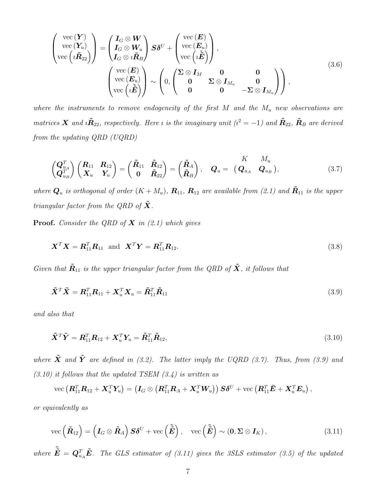<span id="page-7-0"></span>
$$
\begin{pmatrix}\n\text{vec}(\boldsymbol{Y}) \\
\text{vec}(\boldsymbol{Y}_u) \\
\text{vec}(\boldsymbol{i}\tilde{\boldsymbol{R}}_{22})\n\end{pmatrix} = \begin{pmatrix}\nI_G \otimes \boldsymbol{W} \\
I_G \otimes \boldsymbol{W}_u \\
I_G \otimes \boldsymbol{i}\tilde{\boldsymbol{R}}_B\n\end{pmatrix}\nS \delta^U + \begin{pmatrix}\n\text{vec}(\boldsymbol{E}) \\
\text{vec}(\boldsymbol{E}_u) \\
\text{vec}(\boldsymbol{i}\tilde{\boldsymbol{E}})\n\end{pmatrix},
$$
\n
$$
\begin{pmatrix}\n\text{vec}(\boldsymbol{E}) \\
\text{vec}(\boldsymbol{E}_u) \\
\text{vec}(\boldsymbol{i}\tilde{\boldsymbol{E}})\n\end{pmatrix} \sim \begin{pmatrix}\n0 \\
0 \\
0 \\
0\n\end{pmatrix}\n\begin{pmatrix}\n\Sigma \otimes I_M & 0 & 0 \\
0 & \Sigma \otimes I_{M_u} & 0 \\
0 & 0 & -\Sigma \otimes I_{M_u}\n\end{pmatrix},
$$
\n(3.6)

where the instruments to remove endogeneity of the first  $M$  and the  $M_u$  new observations are *matrices*  $\bf{X}$  and  $i\tilde{R}_{22}$ , respectively. Here *i* is the imaginary unit ( $i^2 = -1$ ) and  $\tilde{R}_{22}$ ,  $\tilde{R}_B$  are derived *from the updating QRD (UQRD)*

$$
\begin{pmatrix} \mathbf{Q}_{u_A}^T \\ \mathbf{Q}_{u_B}^T \end{pmatrix} \begin{pmatrix} \mathbf{R}_{11} & \mathbf{R}_{12} \\ \mathbf{X}_u & \mathbf{Y}_u \end{pmatrix} = \begin{pmatrix} \tilde{\mathbf{R}}_{11} & \tilde{\mathbf{R}}_{12} \\ \mathbf{0} & \tilde{\mathbf{R}}_{22} \end{pmatrix} = \begin{pmatrix} \tilde{\mathbf{R}}_A \\ \tilde{\mathbf{R}}_B \end{pmatrix}, \quad \mathbf{Q}_u = \begin{pmatrix} K & M_u \\ \mathbf{Q}_{u_A} & \mathbf{Q}_{u_B} \end{pmatrix}, \tag{3.7}
$$

*where*  $Q_u$  *is orthogonal of order*  $(K + M_u)$ ,  $R_{11}$ ,  $R_{12}$  *are available from* [\(2.1\)](#page-3-0) *and*  $\tilde{R}_{11}$  *is the upper triangular factor from the QRD of*  $\boldsymbol{X}$ *.* 

Proof. *Consider the QRD of* X *in [\(2.1\)](#page-3-0) which gives*

$$
\mathbf{X}^T \mathbf{X} = \mathbf{R}_{11}^T \mathbf{R}_{11} \text{ and } \mathbf{X}^T \mathbf{Y} = \mathbf{R}_{11}^T \mathbf{R}_{12}. \tag{3.8}
$$

*Given that*  $\tilde{R}_{11}$  *is the upper triangular factor from the QRD of*  $\tilde{X}$ *, it follows that* 

$$
\tilde{\mathbf{X}}^T \tilde{\mathbf{X}} = \mathbf{R}_{11}^T \mathbf{R}_{11} + \mathbf{X}_u^T \mathbf{X}_u = \tilde{\mathbf{R}}_{11}^T \tilde{\mathbf{R}}_{11}
$$
\n(3.9)

*and also that*

<span id="page-7-1"></span>
$$
\tilde{\mathbf{X}}^T \tilde{\mathbf{Y}} = \mathbf{R}_{11}^T \mathbf{R}_{12} + \mathbf{X}_u^T \mathbf{Y}_u = \tilde{\mathbf{R}}_{11}^T \tilde{\mathbf{R}}_{12},
$$
\n(3.10)

*where*  $\tilde{\mathbf{X}}$  *and*  $\tilde{\mathbf{Y}}$  *are defined in* [\(3.2\)](#page-5-2)*.* The latter imply the UQRD [\(3.7\)](#page-6-0). Thus, from [\(3.9\)](#page-6-1) and *[\(3.10\)](#page-6-2) it follows that the updated TSEM [\(3.4\)](#page-5-3) is written as*

$$
\text{vec}\left(\boldsymbol{R}_{11}^T\boldsymbol{R}_{12}+\boldsymbol{X}_u^T\boldsymbol{Y}_u\right)=\left(\boldsymbol{I}_G\otimes\left(\boldsymbol{R}_{11}^T\boldsymbol{R}_A+\boldsymbol{X}_u^T\boldsymbol{W}_u\right)\right)\boldsymbol{S}\boldsymbol{\delta}^U+\text{vec}\left(\boldsymbol{R}_{11}^T\bar{\boldsymbol{E}}+\boldsymbol{X}_u^T\boldsymbol{E}_u\right),
$$

*or equivalently as*

$$
\text{vec}\left(\tilde{\boldsymbol{R}}_{12}\right) = \left(\boldsymbol{I}_G \otimes \tilde{\boldsymbol{R}}_A\right) \boldsymbol{S} \boldsymbol{\delta}^U + \text{vec}\left(\tilde{\boldsymbol{E}}\right), \quad \text{vec}\left(\tilde{\boldsymbol{E}}\right) \sim \left(\boldsymbol{0}, \boldsymbol{\Sigma} \otimes \boldsymbol{I}_K\right),\tag{3.11}
$$

where  $\tilde{\tilde{E}} = Q_{u_A}^T \tilde{E}$ . The GLS estimator of [\(3.11\)](#page-6-3) gives the 3SLS estimator [\(3.5\)](#page-5-1) of the updated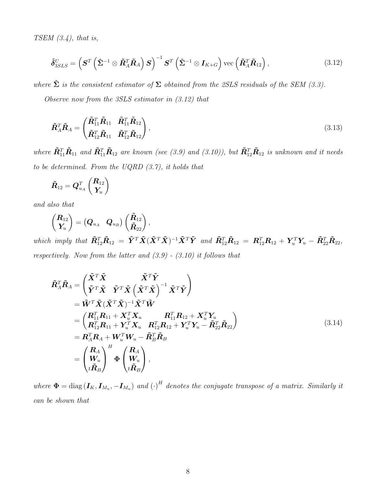*TSEM [\(3.4\)](#page-5-3), that is,*

<span id="page-8-0"></span>
$$
\hat{\delta}_{3SLS}^U = \left( \mathbf{S}^T \left( \hat{\mathbf{\Sigma}}^{-1} \otimes \tilde{\mathbf{R}}_A^T \tilde{\mathbf{R}}_A \right) \mathbf{S} \right)^{-1} \mathbf{S}^T \left( \hat{\mathbf{\Sigma}}^{-1} \otimes \mathbf{I}_{K+G} \right) \text{vec} \left( \tilde{\mathbf{R}}_A^T \tilde{\mathbf{R}}_{12} \right), \tag{3.12}
$$

*where*  $\hat{\Sigma}$  *is the consistent estimator of*  $\Sigma$  *obtained from the 2SLS residuals of the SEM* [\(3.3\)](#page-5-0)*.* 

*Observe now from the 3SLS estimator in [\(3.12\)](#page-7-0) that*

$$
\tilde{\boldsymbol{R}}_A^T \tilde{\boldsymbol{R}}_A = \begin{pmatrix} \tilde{\boldsymbol{R}}_{11}^T \tilde{\boldsymbol{R}}_{11} & \tilde{\boldsymbol{R}}_{11}^T \tilde{\boldsymbol{R}}_{12} \\ \tilde{\boldsymbol{R}}_{12}^T \tilde{\boldsymbol{R}}_{11} & \tilde{\boldsymbol{R}}_{12}^T \tilde{\boldsymbol{R}}_{12} \end{pmatrix},
$$
\n(3.13)

 $where \ \tilde{\bm{R}}_{11}^T \tilde{\bm{R}}_{11}$  and  $\tilde{\bm{R}}_{11}^T \tilde{\bm{R}}_{12}$  are known (see [\(3.9\)](#page-6-1) and [\(3.10\)](#page-6-2)), but  $\tilde{\bm{R}}_{12}^T \tilde{\bm{R}}_{12}$  is unknown and it needs *to be determined. From the UQRD [\(3.7\)](#page-6-0), it holds that*

<span id="page-8-2"></span>
$$
\tilde{\boldsymbol{R}}_{12}=\boldsymbol{Q}_{u_A}^T\begin{pmatrix}\boldsymbol{R}_{12} \\ \boldsymbol{Y_u}\end{pmatrix}
$$

*and also that*

<span id="page-8-1"></span>
$$
\begin{pmatrix} R_{12} \\ Y_u \end{pmatrix} = \begin{pmatrix} Q_{u_A} & Q_{u_B} \end{pmatrix} \begin{pmatrix} \tilde{R}_{12} \\ \tilde{R}_{22} \end{pmatrix},
$$

 $which \text{ imply that } \tilde{\bm{R}}_{12}^T \tilde{\bm{R}}_{12} = \tilde{\bm{Y}}^T \tilde{\bm{X}} (\tilde{\bm{X}}^T \tilde{\bm{X}})^{-1} \tilde{\bm{X}}^T \tilde{\bm{Y}} \text{ and } \tilde{\bm{R}}_{12}^T \tilde{\bm{R}}_{12} = \bm{R}_{12}^T \bm{R}_{12} + \bm{Y}_u^T \bm{Y}_u - \tilde{\bm{R}}_{22}^T \tilde{\bm{R}}_{22},$ *respectively. Now from the latter and [\(3.9\)](#page-6-1) - [\(3.10\)](#page-6-2) it follows that*

$$
\tilde{R}_{A}^{T}\tilde{R}_{A} = \begin{pmatrix}\n\tilde{X}^{T}\tilde{X} & \tilde{X}^{T}\tilde{Y} \\
\tilde{Y}^{T}\tilde{X} & \tilde{Y}^{T}\tilde{X} (\tilde{X}^{T}\tilde{X})^{-1} \tilde{X}^{T}\tilde{Y} \\
= \tilde{W}^{T}\tilde{X}(\tilde{X}^{T}\tilde{X})^{-1}\tilde{X}^{T}\tilde{W} \\
= \begin{pmatrix}\nR_{11}^{T}R_{11} + X_{u}^{T}X_{u} & R_{11}^{T}R_{12} + X_{u}^{T}Y_{u} \\
R_{12}^{T}R_{11} + Y_{u}^{T}X_{u} & R_{12}^{T}R_{12} + Y_{u}^{T}Y_{u} - \tilde{R}_{22}^{T}\tilde{R}_{22}\n\end{pmatrix} \\
= R_{A}^{T}R_{A} + W_{u}^{T}W_{u} - \tilde{R}_{B}^{T}\tilde{R}_{B} \\
= \begin{pmatrix}\nR_{A} \\
W_{u} \\
i\tilde{R}_{B}\n\end{pmatrix}^{H} \Phi \begin{pmatrix}\nR_{A} \\
W_{u} \\
i\tilde{R}_{B}\n\end{pmatrix},
$$
\n(3.14)

where  $\mathbf{\Phi} = \text{diag}(\mathbf{I}_K, \mathbf{I}_{M_u}, -\mathbf{I}_{M_u})$  and  $\left(\cdot\right)^H$  denotes the conjugate transpose of a matrix. Similarly it *can be shown that*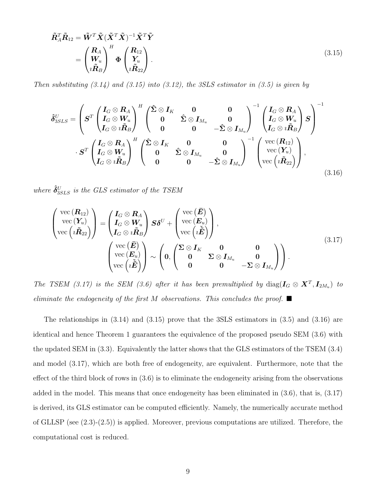<span id="page-9-3"></span>
$$
\tilde{\mathbf{R}}_A^T \tilde{\mathbf{R}}_{12} = \tilde{\mathbf{W}}^T \tilde{\mathbf{X}} (\tilde{\mathbf{X}}^T \tilde{\mathbf{X}})^{-1} \tilde{\mathbf{X}}^T \tilde{\mathbf{Y}} \\
= \begin{pmatrix} \mathbf{R}_A \\ \mathbf{W}_u \\ i \tilde{\mathbf{R}}_B \end{pmatrix}^H \Phi \begin{pmatrix} \mathbf{R}_{12} \\ \mathbf{Y}_u \\ i \tilde{\mathbf{R}}_{22} \end{pmatrix} .
$$
\n(3.15)

*Then substituting [\(3.14\)](#page-7-1) and [\(3.15\)](#page-8-0) into [\(3.12\)](#page-7-0), the 3SLS estimator in [\(3.5\)](#page-5-1) is given by*

$$
\hat{\delta}_{3SLS}^{U} = \left( \boldsymbol{S}^{T} \begin{pmatrix} \boldsymbol{I}_{G} \otimes \boldsymbol{R}_{A} \\ \boldsymbol{I}_{G} \otimes \boldsymbol{W}_{u} \\ \boldsymbol{I}_{G} \otimes \boldsymbol{i} \tilde{\boldsymbol{R}}_{B} \end{pmatrix}^{H} \begin{pmatrix} \hat{\boldsymbol{\Sigma}} \otimes \boldsymbol{I}_{K} & \boldsymbol{0} & \boldsymbol{0} \\ \boldsymbol{0} & \hat{\boldsymbol{\Sigma}} \otimes \boldsymbol{I}_{M_{u}} & \boldsymbol{0} \\ \boldsymbol{0} & \boldsymbol{0} & -\hat{\boldsymbol{\Sigma}} \otimes \boldsymbol{I}_{M_{u}} \end{pmatrix}^{-1} \begin{pmatrix} \boldsymbol{I}_{G} \otimes \boldsymbol{R}_{A} \\ \boldsymbol{I}_{G} \otimes \boldsymbol{W}_{u} \\ \boldsymbol{I}_{G} \otimes \boldsymbol{i} \tilde{\boldsymbol{R}}_{B} \end{pmatrix}^{-1}
$$

$$
\cdot \boldsymbol{S}^{T} \begin{pmatrix} \boldsymbol{I}_{G} \otimes \boldsymbol{R}_{A} \\ \boldsymbol{I}_{G} \otimes \boldsymbol{W}_{u} \\ \boldsymbol{I}_{G} \otimes \boldsymbol{i} \tilde{\boldsymbol{R}}_{B} \end{pmatrix}^{H} \begin{pmatrix} \hat{\boldsymbol{\Sigma}} \otimes \boldsymbol{I}_{K} & \boldsymbol{0} & \boldsymbol{0} \\ \boldsymbol{0} & \hat{\boldsymbol{\Sigma}} \otimes \boldsymbol{I}_{M_{u}} & \boldsymbol{0} \\ \boldsymbol{0} & \boldsymbol{0} & -\hat{\boldsymbol{\Sigma}} \otimes \boldsymbol{I}_{M_{u}} \end{pmatrix}^{-1} \begin{pmatrix} \text{vec}(\boldsymbol{R}_{12}) \\ \text{vec}(\boldsymbol{Y}_{u}) \\ \text{vec}(\boldsymbol{Y}_{u}) \\ \text{vec}(\boldsymbol{I}_{R22}) \end{pmatrix}, \qquad (3.16)
$$

 $where \ \hat{\boldsymbol{\delta}}^{U}_{3SLS} \ \emph{is the GLS estimator of the TSEM}$ 

$$
\begin{pmatrix}\n\text{vec}(\mathbf{R}_{12}) \\
\text{vec}(\mathbf{Y}_{u}) \\
\text{vec}(\mathbf{R}_{22})\n\end{pmatrix} = \begin{pmatrix}\nI_G \otimes \mathbf{R}_A \\
I_G \otimes \mathbf{W}_u \\
I_G \otimes i\tilde{\mathbf{R}}_B\n\end{pmatrix} \mathbf{S} \delta^U + \begin{pmatrix}\n\text{vec}(\bar{\mathbf{E}}) \\
\text{vec}(\mathbf{E}_u) \\
\text{vec}(\mathbf{E})\n\end{pmatrix},
$$
\n
$$
\begin{pmatrix}\n\text{vec}(\bar{\mathbf{E}}) \\
\text{vec}(\mathbf{E}_u) \\
\text{vec}(\mathbf{E}_u)\n\end{pmatrix} \sim \begin{pmatrix}\n0 & 0 & 0 \\
0 & \Sigma \otimes I_{M_u} & 0 \\
0 & 0 & -\Sigma \otimes I_{M_u}\n\end{pmatrix}.
$$
\n(3.17)

<span id="page-9-0"></span>*The TSEM* [\(3.17\)](#page-8-1) is the SEM [\(3.6\)](#page-6-4) after it has been premultiplied by  $diag(I_G \otimes X^T, I_{2M_u})$  to *eliminate the endogeneity of the first* M *observations. This concludes the proof.*

<span id="page-9-2"></span><span id="page-9-1"></span>The relationships in [\(3.14\)](#page-7-1) and [\(3.15\)](#page-8-0) prove that the 3SLS estimators in [\(3.5\)](#page-5-1) and [\(3.16\)](#page-8-2) are identical and hence Theorem [1](#page-6-0) guarantees the equivalence of the proposed pseudo SEM [\(3.6\)](#page-6-4) with the updated SEM in [\(3.3\)](#page-5-0). Equivalently the latter shows that the GLS estimators of the TSEM [\(3.4\)](#page-5-3) and model [\(3.17\)](#page-8-1), which are both free of endogeneity, are equivalent. Furthermore, note that the effect of the third block of rows in [\(3.6\)](#page-6-4) is to eliminate the endogeneity arising from the observations added in the model. This means that once endogeneity has been eliminated in [\(3.6\)](#page-6-4), that is, [\(3.17\)](#page-8-1) is derived, its GLS estimator can be computed efficiently. Namely, the numerically accurate method of GLLSP (see [\(2.3\)](#page-4-2)-[\(2.5\)](#page-4-5)) is applied. Moreover, previous computations are utilized. Therefore, the computational cost is reduced.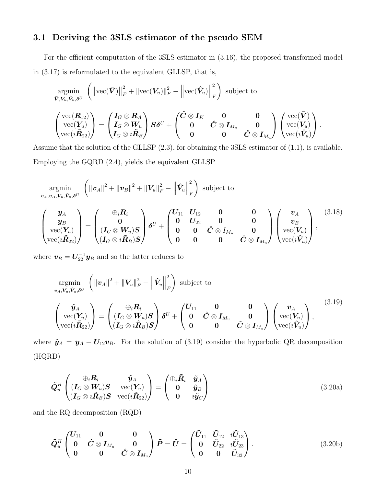#### 3.1 Deriving the 3SLS estimator of the pseudo SEM

For the efficient computation of the 3SLS estimator in [\(3.16\)](#page-8-2), the proposed transformed model in [\(3.17\)](#page-8-1) is reformulated to the equivalent GLLSP, that is,

<span id="page-10-0"></span>
$$
\operatorname*{argmin}_{\bar{\boldsymbol{V}}, \boldsymbol{V}_u, \hat{\boldsymbol{V}}_u, \boldsymbol{\delta}^U} \left( \left\| \text{vec}(\bar{\boldsymbol{V}}) \right\|_F^2 + \left\| \text{vec}(\boldsymbol{V}_u) \right\|_F^2 - \left\| \text{vec}(\hat{\boldsymbol{V}}_u) \right\|_F^2 \right) \text{ subject to } \\ \left( \begin{matrix} \text{vec}(\boldsymbol{R}_{12}) \\ \text{vec}(\boldsymbol{Y}_u) \\ \text{vec}(\boldsymbol{R}_{22}) \end{matrix} \right) = \left( \begin{matrix} \boldsymbol{I}_G \otimes \boldsymbol{R}_A \\ \boldsymbol{I}_G \otimes \boldsymbol{W}_u \\ \boldsymbol{I}_G \otimes \boldsymbol{i\tilde{R}_B} \end{matrix} \right) \boldsymbol{S} \boldsymbol{\delta}^U + \left( \begin{matrix} \boldsymbol{\hat{C}} \otimes \boldsymbol{I}_K & \boldsymbol{0} & \boldsymbol{0} \\ \boldsymbol{0} & \boldsymbol{\hat{C}} \otimes \boldsymbol{I}_{M_u} & \boldsymbol{0} \\ \boldsymbol{0} & \boldsymbol{0} & \boldsymbol{\hat{C}} \otimes \boldsymbol{I}_{M_u} \end{matrix} \right) \left( \begin{matrix} \text{vec}(\bar{\boldsymbol{V}}) \\ \text{vec}(\boldsymbol{V}_u) \\ \text{vec}(\boldsymbol{V}_u) \end{matrix} \right).
$$

Assume that the solution of the GLLSP [\(2.3\)](#page-4-2), for obtaining the 3SLS estimator of [\(1.1\)](#page-0-1), is available. Employing the GQRD [\(2.4\)](#page-4-4), yields the equivalent GLLSP

<span id="page-10-2"></span>
$$
\underset{\mathbf{v}_{A}, \mathbf{v}_{B}, \mathbf{V}_{u}, \hat{\mathbf{v}}_{u}, \delta^{U}}{\operatorname{argmin}} \left( \|\mathbf{v}_{A}\|^{2} + \|\mathbf{v}_{B}\|^{2} + \|\mathbf{V}_{u}\|_{F}^{2} - \left\|\hat{\mathbf{V}}_{u}\right\|_{F}^{2} \right) \text{ subject to}
$$
\n
$$
\begin{pmatrix}\n\mathbf{y}_{A} \\
\mathbf{y}_{B} \\
\operatorname{vec}(\mathbf{Y}_{u}) \\
\operatorname{vec}(i\tilde{\mathbf{R}}_{22})\n\end{pmatrix} = \begin{pmatrix}\n\oplus_{i} \mathbf{R}_{i} \\
0 \\
(I_{G} \otimes \mathbf{W}_{u})\mathbf{S} \\
(I_{G} \otimes i\tilde{\mathbf{R}}_{B})\mathbf{S}\n\end{pmatrix} \delta^{U} + \begin{pmatrix}\nU_{11} & U_{12} & 0 & 0 \\
0 & U_{22} & 0 & 0 \\
0 & 0 & \hat{C} \otimes I_{M_{u}} & 0 \\
0 & 0 & 0 & \hat{C} \otimes I_{M_{u}}\n\end{pmatrix} \begin{pmatrix}\n\mathbf{v}_{A} \\
\mathbf{v}_{B} \\
\operatorname{vec}(\mathbf{V}_{u}) \\
\operatorname{vec}(\mathbf{v}_{u})\n\end{pmatrix},
$$
\n(3.18)

<span id="page-10-1"></span>where  $\boldsymbol{v}_B = \boldsymbol{U}_{22}^{-1} \boldsymbol{y}_B$  and so the latter reduces to

$$
\underset{\mathbf{v}_{A}, \mathbf{V}_{u}, \hat{\mathbf{v}}_{u}, \delta^{U}}{\operatorname{argmin}} \left( \|\mathbf{v}_{A}\|^{2} + \|\mathbf{V}_{u}\|_{F}^{2} - \left\|\hat{\mathbf{V}}_{u}\right\|_{F}^{2} \right) \text{ subject to}
$$
\n
$$
\begin{pmatrix}\n\hat{\mathbf{y}}_{A} \\
\operatorname{vec}(\mathbf{Y}_{u}) \\
\operatorname{vec}(i\tilde{\mathbf{R}}_{22})\n\end{pmatrix} = \begin{pmatrix}\n\oplus_{i} R_{i} \\
(I_{G} \otimes W_{u}) S \\
(I_{G} \otimes i\tilde{\mathbf{R}}_{B}) S\n\end{pmatrix} \delta^{U} + \begin{pmatrix}\nU_{11} & 0 & 0 \\
0 & \hat{C} \otimes I_{M_{u}} & 0 \\
0 & 0 & \hat{C} \otimes I_{M_{u}}\n\end{pmatrix} \begin{pmatrix}\n\mathbf{v}_{A} \\
\operatorname{vec}(\mathbf{V}_{u}) \\
\operatorname{vec}(i\tilde{\mathbf{V}}_{u})\n\end{pmatrix},
$$
\n(3.19)

where  $\hat{\mathbf{y}}_A = \mathbf{y}_A - \mathbf{U}_{12} \mathbf{v}_B$ . For the solution of [\(3.19\)](#page-9-0) consider the hyperbolic QR decomposition (HQRD)

$$
\tilde{\mathbf{Q}}_u^H \begin{pmatrix} \bigoplus_i \mathbf{R}_i & \hat{\mathbf{y}}_A \\ (\mathbf{I}_G \otimes \mathbf{W}_u) \mathbf{S} & \text{vec}(\mathbf{Y}_u) \\ (\mathbf{I}_G \otimes \iota \tilde{\mathbf{R}}_B) \mathbf{S} & \text{vec}(\iota \tilde{\mathbf{R}}_{22}) \end{pmatrix} = \begin{pmatrix} \bigoplus_i \tilde{\mathbf{R}}_i & \tilde{\mathbf{y}}_A \\ \mathbf{0} & \tilde{\mathbf{y}}_B \\ \mathbf{0} & \iota \tilde{\mathbf{y}}_C \end{pmatrix}
$$
(3.20a)

and the RQ decomposition (RQD)

$$
\tilde{Q}_{u}^{H} \begin{pmatrix} U_{11} & 0 & 0 \\ 0 & \hat{C} \otimes I_{M_{u}} & 0 \\ 0 & 0 & \hat{C} \otimes I_{M_{u}} \end{pmatrix} \tilde{P} = \tilde{U} = \begin{pmatrix} \tilde{U}_{11} & \tilde{U}_{12} & i \tilde{U}_{13} \\ 0 & \tilde{U}_{22} & i \tilde{U}_{23} \\ 0 & 0 & \tilde{U}_{33} \end{pmatrix}.
$$
 (3.20b)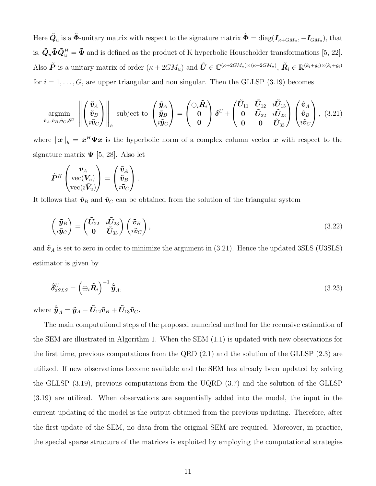<span id="page-11-0"></span>Here  $\tilde{\bm{Q}}_u$  is a  $\tilde{\bm{\Phi}}$ -unitary matrix with respect to the signature matrix  $\tilde{\bm{\Phi}} = \text{diag}(\bm{I}_{\kappa+GM_u}, -\bm{I}_{GM_u}),$  that is,  $\tilde{\mathbf{Q}}_u \tilde{\mathbf{\Phi}} \tilde{\mathbf{Q}}_u^H = \tilde{\mathbf{\Phi}}$  and is defined as the product of K hyperbolic Householder transformations [\[5,](#page-17-5) [22\]](#page-18-12). Also  $\tilde{P}$  is a unitary matrix of order  $(\kappa + 2GM_u)$  and  $\tilde{U} \in \mathbb{C}^{(\kappa+2GM_u)\times(\kappa+2GM_u)}$ ,  $\tilde{R}_i \in \mathbb{R}^{(k_i+g_i)\times(k_i+g_i)}$ for  $i = 1, \ldots, G$ , are upper triangular and non singular. Then the GLLSP [\(3.19\)](#page-9-0) becomes

$$
\operatorname*{argmin}_{\tilde{\boldsymbol{v}}_A, \tilde{\boldsymbol{v}}_B, \tilde{\boldsymbol{v}}_C, \boldsymbol{\delta}^U} \left\| \begin{pmatrix} \tilde{\boldsymbol{v}}_A \\ \tilde{\boldsymbol{v}}_B \\ i \tilde{\boldsymbol{v}}_C \end{pmatrix} \right\|_{h} \text{subject to } \begin{pmatrix} \tilde{\boldsymbol{y}}_A \\ \tilde{\boldsymbol{y}}_B \\ i \tilde{\boldsymbol{y}}_C \end{pmatrix} = \begin{pmatrix} \bigoplus_i \tilde{\boldsymbol{R}}_i \\ 0 \\ 0 \end{pmatrix} \boldsymbol{\delta}^U + \begin{pmatrix} \tilde{\boldsymbol{U}}_{11} & \tilde{\boldsymbol{U}}_{12} & i \tilde{\boldsymbol{U}}_{13} \\ 0 & \tilde{\boldsymbol{U}}_{22} & i \tilde{\boldsymbol{U}}_{23} \\ 0 & 0 & \tilde{\boldsymbol{U}}_{33} \end{pmatrix} \begin{pmatrix} \tilde{\boldsymbol{v}}_A \\ \tilde{\boldsymbol{v}}_B \\ i \tilde{\boldsymbol{v}}_C \end{pmatrix}, \ (3.21)
$$

where  $\|\bm{x}\|_{h} = \bm{x}^{H}\bm{\Psi}\bm{x}$  is the hyperbolic norm of a complex column vector  $\bm{x}$  with respect to the signature matrix  $\Psi$  [\[5,](#page-17-5) [28\]](#page-19-11). Also let

$$
\tilde{\bm{P}}^H \begin{pmatrix} \bm{v}_A \\ \mathrm{vec}(\bm{V}_u) \\ \mathrm{vec}(\imath \tilde{\bm{V}}_u) \end{pmatrix} = \begin{pmatrix} \tilde{\bm{v}}_A \\ \tilde{\bm{v}}_B \\ \imath \tilde{\bm{v}}_C \end{pmatrix}.
$$

It follows that  $\tilde{\boldsymbol{v}}_B$  and  $\tilde{\boldsymbol{v}}_C$  can be obtained from the solution of the triangular system

$$
\begin{pmatrix} \tilde{\mathbf{y}}_B \\ i\tilde{\mathbf{y}}_C \end{pmatrix} = \begin{pmatrix} \tilde{\mathbf{U}}_{22} & i\tilde{\mathbf{U}}_{23} \\ \mathbf{0} & \tilde{\mathbf{U}}_{33} \end{pmatrix} \begin{pmatrix} \tilde{\mathbf{v}}_B \\ i\tilde{\mathbf{v}}_C \end{pmatrix},
$$
\n(3.22)

and  $\tilde{v}_A$  is set to zero in order to minimize the argument in [\(3.21\)](#page-10-0). Hence the updated 3SLS (U3SLS) estimator is given by

$$
\hat{\delta}_{3SLS}^U = \left(\bigoplus_i \tilde{R}_i\right)^{-1} \hat{\tilde{y}}_A,\tag{3.23}
$$

where  $\hat{\tilde{\bm{y}}}_A = \tilde{\bm{y}}_A - \tilde{\bm{U}}_{12}\tilde{\bm{v}}_B + \tilde{\bm{U}}_{13}\tilde{\bm{v}}_C$ .

<span id="page-11-1"></span>The main computational steps of the proposed numerical method for the recursive estimation of the SEM are illustrated in Algorithm [1.](#page-11-0) When the SEM [\(1.1\)](#page-0-1) is updated with new observations for the first time, previous computations from the QRD [\(2.1\)](#page-3-0) and the solution of the GLLSP [\(2.3\)](#page-4-2) are utilized. If new observations become available and the SEM has already been updated by solving the GLLSP [\(3.19\)](#page-9-0), previous computations from the UQRD [\(3.7\)](#page-6-0) and the solution of the GLLSP [\(3.19\)](#page-9-0) are utilized. When observations are sequentially added into the model, the input in the current updating of the model is the output obtained from the previous updating. Therefore, after the first update of the SEM, no data from the original SEM are required. Moreover, in practice, the special sparse structure of the matrices is exploited by employing the computational strategies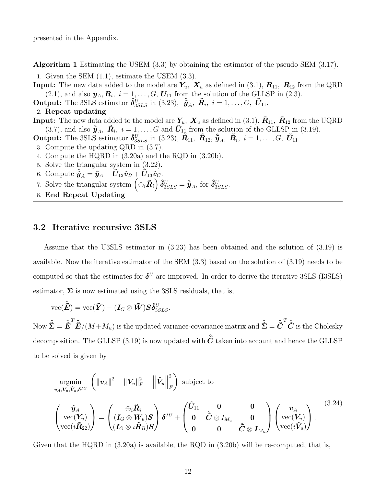<span id="page-12-1"></span>presented in the Appendix.

Algorithm 1 Estimating the USEM [\(3.3\)](#page-5-0) by obtaining the estimator of the pseudo SEM [\(3.17\)](#page-8-1).

1. Given the SEM [\(1.1\)](#page-0-1), estimate the USEM [\(3.3\)](#page-5-0).

- **Input:** The new data added to the model are  $Y_u$ ,  $X_u$  as defined in [\(3.1\)](#page-5-4),  $R_{11}$ ,  $R_{12}$  from the QRD  $(2.1)$ , and also  $\hat{\mathbf{y}}_A, \mathbf{R}_i, i = 1, \ldots, G, \mathbf{U}_{11}$  from the solution of the GLLSP in  $(2.3)$ .
- **Output:** The 3SLS estimator  $\hat{\boldsymbol{\delta}}_{3SLS}^{U}$  in [\(3.23\)](#page-10-1),  $\hat{\boldsymbol{\tilde{y}}}_{A}$ ,  $\tilde{\boldsymbol{R}}_{i}$ ,  $i = 1, \ldots, G$ ,  $\tilde{\boldsymbol{U}}_{11}$ .

#### 2. Repeat updating

**Input:** The new data added to the model are  $Y_u$ ,  $X_u$  as defined in [\(3.1\)](#page-5-4),  $\tilde{R}_{11}$ ,  $\tilde{R}_{12}$  from the UQRD [\(3.7\)](#page-6-0), and also  $\hat{\mathbf{y}}_A$ ,  $\tilde{\mathbf{R}}_i$ ,  $i = 1, ..., G$  and  $\tilde{\mathbf{U}}_{11}$  from the solution of the GLLSP in [\(3.19\)](#page-9-0).

- **Output:** The 3SLS estimator  $\hat{\boldsymbol{\delta}}_{3SLS}^U$  in [\(3.23\)](#page-10-1),  $\tilde{R}_{11}$ ,  $\tilde{R}_{12}$ ,  $\tilde{\hat{y}}_A$ ,  $\tilde{R}_i$ ,  $i = 1, \ldots, G$ ,  $\tilde{U}_{11}$ .
- 3. Compute the updating QRD in [\(3.7\)](#page-6-0).
- <span id="page-12-0"></span>4. Compute the HQRD in [\(3.20a\)](#page-9-1) and the RQD in [\(3.20b\)](#page-9-2).
- 5. Solve the triangular system in [\(3.22\)](#page-10-2).
- 6. Compute  $\hat{\boldsymbol{y}}_A = \tilde{\boldsymbol{y}}_A \tilde{\boldsymbol{U}}_{12}\tilde{\boldsymbol{v}}_B + \tilde{\boldsymbol{U}}_{13}\tilde{\boldsymbol{v}}_C.$
- 7. Solve the triangular system  $(\bigoplus_i \tilde{R}_i) \hat{\delta}_{3SLS}^U = \hat{\tilde{y}}_A$ , for  $\hat{\delta}_{3SLS}^U$ .
- 8. End Repeat Updating

#### 3.2 Iterative recursive 3SLS

Assume that the U3SLS estimator in [\(3.23\)](#page-10-1) has been obtained and the solution of [\(3.19\)](#page-9-0) is available. Now the iterative estimator of the SEM [\(3.3\)](#page-5-0) based on the solution of [\(3.19\)](#page-9-0) needs to be computed so that the estimates for  $\delta^U$  are improved. In order to derive the iterative 3SLS (I3SLS) estimator,  $\Sigma$  is now estimated using the 3SLS residuals, that is,

$$
\text{vec}(\hat{\tilde{\boldsymbol{E}}})=\text{vec}(\tilde{\boldsymbol{Y}})-(\boldsymbol{I}_G\otimes \tilde{\boldsymbol{W}})\boldsymbol{S}\boldsymbol{\hat{\delta}}_{3SLS}^U.
$$

Now  $\hat{\tilde{\boldsymbol{\Sigma}}} = \hat{\boldsymbol{\tilde{E}}}^T \hat{\boldsymbol{\tilde{E}}} / (M + M_u)$  is the updated variance-covariance matrix and  $\hat{\tilde{\boldsymbol{\Sigma}}} = \hat{\boldsymbol{\tilde{C}}}^T \hat{\tilde{\boldsymbol{C}}}$  is the Cholesky decomposition. The GLLSP [\(3.19\)](#page-9-0) is now updated with  $\hat{\tilde{C}}$  taken into account and hence the GLLSP to be solved is given by

<span id="page-12-2"></span>
$$
\operatorname*{argmin}_{\mathbf{v}_{A}, \mathbf{V}_{u}, \mathbf{\hat{V}}_{u}, \delta^{IU}} \left( \|\mathbf{v}_{A}\|^{2} + \|\mathbf{V}_{u}\|_{F}^{2} - \left\|\hat{\mathbf{V}}_{u}\right\|_{F}^{2} \right) \text{ subject to}
$$
\n
$$
\begin{pmatrix} \hat{\mathbf{y}}_{A} \\ \operatorname{vec}(\mathbf{Y}_{u}) \\ \operatorname{vec}(i\tilde{\mathbf{R}}_{22}) \end{pmatrix} = \begin{pmatrix} \bigoplus_{i} \tilde{\mathbf{R}}_{i} \\ (I_{G} \otimes \mathbf{W}_{u})\mathbf{S} \\ (I_{G} \otimes i\tilde{\mathbf{R}}_{B})\mathbf{S} \end{pmatrix} \delta^{IU} + \begin{pmatrix} \tilde{\mathbf{U}}_{11} & \mathbf{0} & \mathbf{0} \\ \mathbf{0} & \tilde{\mathbf{C}} \otimes I_{M_{u}} & \mathbf{0} \\ \mathbf{0} & \mathbf{0} & \tilde{\mathbf{C}} \otimes I_{M_{u}} \end{pmatrix} \begin{pmatrix} \mathbf{v}_{A} \\ \operatorname{vec}(\mathbf{V}_{u}) \\ \operatorname{vec}(i\tilde{\mathbf{V}}_{u}) \end{pmatrix} .
$$
\n(3.24)

<span id="page-12-3"></span>Given that the HQRD in  $(3.20a)$  is available, the RQD in  $(3.20b)$  will be re-computed, that is,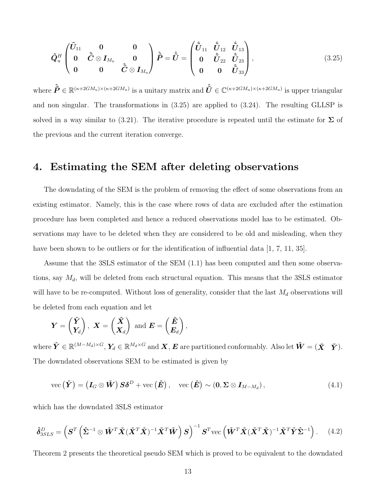<span id="page-13-1"></span>
$$
\tilde{Q}_{u}^{H} \begin{pmatrix} \tilde{U}_{11} & 0 & 0 \\ 0 & \tilde{C} \otimes I_{M_{u}} & 0 \\ 0 & 0 & \tilde{C} \otimes I_{M_{u}} \end{pmatrix} \tilde{\tilde{P}} = \tilde{\tilde{U}} = \begin{pmatrix} \tilde{\tilde{U}}_{11} & \tilde{\tilde{U}}_{12} & \tilde{\tilde{U}}_{13} \\ 0 & \tilde{\tilde{U}}_{22} & \tilde{\tilde{U}}_{23} \\ 0 & 0 & \tilde{\tilde{U}}_{33} \end{pmatrix},
$$
\n(3.25)

where  $\hat{\tilde{P}} \in \mathbb{R}^{(\kappa+2GM_u)\times(\kappa+2GM_u)}$  is a unitary matrix and  $\hat{\tilde{U}} \in \mathbb{C}^{(\kappa+2GM_u)\times(\kappa+2GM_u)}$  is upper triangular and non singular. The transformations in [\(3.25\)](#page-12-1) are applied to [\(3.24\)](#page-11-1). The resulting GLLSP is solved in a way similar to [\(3.21\)](#page-10-0). The iterative procedure is repeated until the estimate for  $\Sigma$  of the previous and the current iteration converge.

#### <span id="page-13-0"></span>4. Estimating the SEM after deleting observations

The downdating of the SEM is the problem of removing the effect of some observations from an existing estimator. Namely, this is the case where rows of data are excluded after the estimation procedure has been completed and hence a reduced observations model has to be estimated. Observations may have to be deleted when they are considered to be old and misleading, when they have been shown to be outliers or for the identification of influential data [\[1,](#page-17-1) [7,](#page-18-13) [11,](#page-18-4) [35\]](#page-19-12).

<span id="page-13-2"></span>Assume that the 3SLS estimator of the SEM [\(1.1\)](#page-0-1) has been computed and then some observations, say  $M_d$ , will be deleted from each structural equation. This means that the 3SLS estimator will have to be re-computed. Without loss of generality, consider that the last  $M_d$  observations will be deleted from each equation and let

$$
Y = \begin{pmatrix} \check{Y} \\ Y_d \end{pmatrix}
$$
,  $X = \begin{pmatrix} \check{X} \\ X_d \end{pmatrix}$  and  $E = \begin{pmatrix} \check{E} \\ E_d \end{pmatrix}$ ,

<span id="page-13-4"></span>where  $\check{Y} \in \mathbb{R}^{(M-M_d)\times G},$   $Y_d \in \mathbb{R}^{M_d\times G}$  and  $X,$   $E$  are partitioned conformably. Also let  $\check{W} = (\check{X} \quad \check{Y})$ . The downdated observations SEM to be estimated is given by

$$
\text{vec}\left(\check{Y}\right) = \left(\mathbf{I}_G \otimes \check{W}\right) S\delta^D + \text{vec}\left(\check{E}\right), \quad \text{vec}\left(\check{E}\right) \sim \left(0, \Sigma \otimes \mathbf{I}_{M-M_d}\right),\tag{4.1}
$$

<span id="page-13-3"></span>which has the downdated 3SLS estimator

$$
\hat{\delta}_{3SLS}^{D} = \left( \mathbf{S}^{T} \left( \hat{\mathbf{\Sigma}}^{-1} \otimes \check{\mathbf{W}}^{T} \check{\mathbf{X}} (\check{\mathbf{X}}^{T} \check{\mathbf{X}})^{-1} \check{\mathbf{X}}^{T} \check{\mathbf{W}} \right) \mathbf{S} \right)^{-1} \mathbf{S}^{T} \text{vec} \left( \check{\mathbf{W}}^{T} \check{\mathbf{X}} (\check{\mathbf{X}}^{T} \check{\mathbf{X}})^{-1} \check{\mathbf{X}}^{T} \check{\mathbf{Y}} \hat{\mathbf{\Sigma}}^{-1} \right). \tag{4.2}
$$

Theorem [2](#page-13-0) presents the theoretical pseudo SEM which is proved to be equivalent to the downdated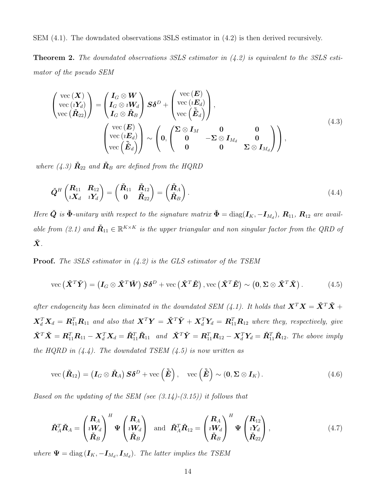SEM [\(4.1\)](#page-12-2). The downdated observations 3SLS estimator in [\(4.2\)](#page-12-3) is then derived recursively.

Theorem 2. *The downdated observations 3SLS estimator in [\(4.2\)](#page-12-3) is equivalent to the 3SLS estimator of the pseudo SEM*

<span id="page-14-1"></span>
$$
\begin{pmatrix}\n\text{vec}(\boldsymbol{X}) \\
\text{vec}(\boldsymbol{i}Y_d) \\
\text{vec}(\boldsymbol{R}_{22})\n\end{pmatrix} = \begin{pmatrix}\nI_G \otimes \boldsymbol{W} \\
I_G \otimes \boldsymbol{i}W_d \\
I_G \otimes \boldsymbol{R}_B\n\end{pmatrix}\n\boldsymbol{S}\boldsymbol{\delta}^D + \begin{pmatrix}\n\text{vec}(\boldsymbol{E}) \\
\text{vec}(\boldsymbol{i}E_d) \\
\text{vec}(\boldsymbol{\tilde{E}}_d)\n\end{pmatrix},
$$
\n
$$
\begin{pmatrix}\n\text{vec}(\boldsymbol{E}) \\
\text{vec}(\boldsymbol{i}E_d) \\
\text{vec}(\boldsymbol{\tilde{E}}_d)\n\end{pmatrix} \sim \begin{pmatrix}\n0 & 0 & 0 \\
0 & -\boldsymbol{\Sigma} \otimes \boldsymbol{I}_{M_d} & 0 \\
0 & 0 & \boldsymbol{\Sigma} \otimes \boldsymbol{I}_{M_d}\n\end{pmatrix},
$$
\n(4.3)

*where* [\(4.3\)](#page-13-1)  $\check{\mathbf{R}}_{22}$  *and*  $\check{\mathbf{R}}_{B}$  *are defined from the HQRD* 

$$
\tilde{\boldsymbol{Q}}^H \begin{pmatrix} \boldsymbol{R}_{11} & \boldsymbol{R}_{12} \\ i \boldsymbol{X}_d & i \boldsymbol{Y}_d \end{pmatrix} = \begin{pmatrix} \check{\boldsymbol{R}}_{11} & \check{\boldsymbol{R}}_{12} \\ \boldsymbol{0} & \check{\boldsymbol{R}}_{22} \end{pmatrix} = \begin{pmatrix} \check{\boldsymbol{R}}_A \\ \check{\boldsymbol{R}}_B \end{pmatrix} . \tag{4.4}
$$

<span id="page-14-2"></span>*Here*  $\check{Q}$  *is*  $\check{\Phi}$ -unitary with respect to the signature matrix  $\check{\Phi} = \text{diag}(\mathbf{I}_K, -\mathbf{I}_{M_d})$ ,  $\mathbf{R}_{11}$ ,  $\mathbf{R}_{12}$  are avail*able from* [\(2.1\)](#page-3-0) and  $\tilde{R}_{11} \in \mathbb{R}^{K \times K}$  is the upper triangular and non singular factor from the QRD of  $\check X$  .

Proof. *The 3SLS estimator in [\(4.2\)](#page-12-3) is the GLS estimator of the TSEM*

vec 
$$
(\check{X}^T\check{Y}) = (I_G \otimes \check{X}^T\check{W}) S\delta^D + \text{vec}(\check{X}^T\check{E}) \cdot \text{vec}(\check{X}^T\check{E}) \sim (0, \Sigma \otimes \check{X}^T\check{X}).
$$
 (4.5)

*after endogeneity has been eliminated in the downdated SEM* [\(4.1\)](#page-12-2)*. It holds that*  $X^T X = \check{X}^T \check{X}$  +  $\boldsymbol{X}_d^T\boldsymbol{X}_d = \boldsymbol{R}_{11}^T\boldsymbol{R}_{11}$  and also that  $\boldsymbol{X}^T\boldsymbol{Y} = \check{\boldsymbol{X}}^T\check{\boldsymbol{Y}} + \boldsymbol{X}_d^T\boldsymbol{Y}_d = \boldsymbol{R}_{11}^T\boldsymbol{R}_{12}$  where they, respectively, give  $\check{\boldsymbol{X}}^T \check{\boldsymbol{X}} = \boldsymbol{R}_{11}^T \boldsymbol{R}_{11} - \boldsymbol{X}_d^T \boldsymbol{X}_d = \check{\boldsymbol{R}}_{11}^T \check{\boldsymbol{R}}_{11}$  and  $\check{\boldsymbol{X}}^T \check{\boldsymbol{Y}} = \boldsymbol{R}_{11}^T \boldsymbol{R}_{12} - \boldsymbol{X}_d^T \boldsymbol{Y}_d = \check{\boldsymbol{R}}_{11}^T \check{\boldsymbol{R}}_{12}$ . The above imply *the HQRD in [\(4.4\)](#page-13-0). The downdated TSEM [\(4.5\)](#page-13-2) is now written as*

$$
\text{vec}\left(\check{\boldsymbol{R}}_{12}\right) = \left(\boldsymbol{I}_G \otimes \check{\boldsymbol{R}}_A\right) \boldsymbol{S} \boldsymbol{\delta}^D + \text{vec}\left(\check{\boldsymbol{E}}\right), \quad \text{vec}\left(\check{\boldsymbol{E}}\right) \sim \left(\boldsymbol{0}, \boldsymbol{\Sigma} \otimes \boldsymbol{I}_K\right). \tag{4.6}
$$

<span id="page-14-0"></span>*Based on the updating of the SEM (see [\(3.14\)](#page-7-1)-[\(3.15\)](#page-8-0)) it follows that*

$$
\tilde{\boldsymbol{R}}_A^T \tilde{\boldsymbol{R}}_A = \begin{pmatrix} \boldsymbol{R}_A \\ i \boldsymbol{W}_d \\ \tilde{\boldsymbol{R}}_B \end{pmatrix}^H \boldsymbol{\Psi} \begin{pmatrix} \boldsymbol{R}_A \\ i \boldsymbol{W}_d \\ \tilde{\boldsymbol{R}}_B \end{pmatrix} \text{ and } \tilde{\boldsymbol{R}}_A^T \tilde{\boldsymbol{R}}_{12} = \begin{pmatrix} \boldsymbol{R}_A \\ i \boldsymbol{W}_d \\ \tilde{\boldsymbol{R}}_B \end{pmatrix}^H \boldsymbol{\Psi} \begin{pmatrix} \boldsymbol{R}_{12} \\ i \boldsymbol{Y}_d \\ \tilde{\boldsymbol{R}}_{22} \end{pmatrix},
$$
\n(4.7)

*where*  $\Psi = \text{diag}(\boldsymbol{I}_K, -\boldsymbol{I}_{M_d}, \boldsymbol{I}_{M_d})$ *. The latter implies the TSEM*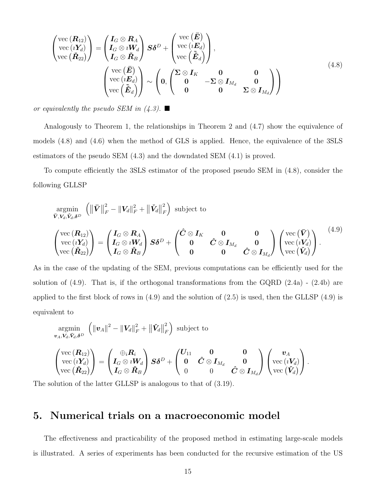$$
\begin{pmatrix}\n\text{vec}(\mathbf{R}_{12}) \\
\text{vec}(\mathbf{i}Y_d) \\
\text{vec}(\mathbf{R}_{22})\n\end{pmatrix} = \begin{pmatrix}\nI_G \otimes \mathbf{R}_A \\
I_G \otimes \mathbf{i}W_d \\
I_G \otimes \mathbf{R}_B\n\end{pmatrix}\nS\delta^D + \begin{pmatrix}\n\text{vec}(\mathbf{E}) \\
\text{vec}(\mathbf{i}E_d) \\
\text{vec}(\mathbf{E}_d)\n\end{pmatrix},
$$
\n
$$
\begin{pmatrix}\n\text{vec}(\mathbf{E}) \\
\text{vec}(\mathbf{i}E_d) \\
\text{vec}(\mathbf{E}_d)\n\end{pmatrix} \sim \begin{pmatrix}\n0 & 0 & 0 \\
0 & -\Sigma \otimes I_{M_d} & 0 \\
0 & 0 & \Sigma \otimes I_{M_d}\n\end{pmatrix}
$$
\n(4.8)

*or equivalently the pseudo SEM in [\(4.3\)](#page-13-1).*

Analogously to Theorem [1,](#page-6-0) the relationships in Theorem 2 and [\(4.7\)](#page-13-3) show the equivalence of models [\(4.8\)](#page-14-1) and [\(4.6\)](#page-13-4) when the method of GLS is applied. Hence, the equivalence of the 3SLS estimators of the pseudo SEM [\(4.3\)](#page-13-1) and the downdated SEM [\(4.1\)](#page-12-2) is proved.

To compute efficiently the 3SLS estimator of the proposed pseudo SEM in [\(4.8\)](#page-14-1), consider the following GLLSP

$$
\underset{\bar{\mathbf{V}},\mathbf{V}_{d},\tilde{\mathbf{V}}_{d},\delta^{D}}{\operatorname{argmin}} \left( \|\bar{\mathbf{V}}\|_{F}^{2} - \|\mathbf{V}_{d}\|_{F}^{2} + \|\check{\mathbf{V}}_{d}\|_{F}^{2} \right) \text{ subject to}
$$
\n
$$
\begin{pmatrix}\n\operatorname{vec}(\mathbf{R}_{12}) \\
\operatorname{vec}(\mathbf{r}_{d}) \\
\operatorname{vec}(\mathbf{r}_{d}) \\
\operatorname{vec}(\tilde{\mathbf{R}}_{22})\n\end{pmatrix} = \begin{pmatrix}\nI_{G} \otimes \mathbf{R}_{A} \\
I_{G} \otimes i\mathbf{W}_{d} \\
I_{G} \otimes \check{\mathbf{R}}_{B}\n\end{pmatrix} \mathbf{S} \delta^{D} + \begin{pmatrix}\n\hat{C} \otimes I_{K} & \mathbf{0} & \mathbf{0} \\
\mathbf{0} & \hat{C} \otimes I_{M_{d}} & \mathbf{0} \\
\mathbf{0} & \mathbf{0} & \hat{C} \otimes I_{M_{d}}\n\end{pmatrix} \begin{pmatrix}\n\operatorname{vec}(\bar{\mathbf{V}}) \\
\operatorname{vec}(\mathbf{V}_{d}) \\
\operatorname{vec}(\check{\mathbf{V}}_{d})\n\end{pmatrix}.
$$
\n
$$
(4.9)
$$

As in the case of the updating of the SEM, previous computations can be efficiently used for the solution of  $(4.9)$ . That is, if the orthogonal transformations from the GQRD  $(2.4a)$  -  $(2.4b)$  are applied to the first block of rows in  $(4.9)$  and the solution of  $(2.5)$  is used, then the GLLSP  $(4.9)$  is equivalent to

$$
\begin{array}{l} \mathop{\rm argmin}\limits_{\boldsymbol{v}_A,\boldsymbol{V}_d,\tilde{\boldsymbol{V}}_d,\delta^D} \left( \left\| \boldsymbol{v}_A \right\|^2 - \left\| \boldsymbol{V}_d \right\|_F^2 + \left\| \tilde{\boldsymbol{V}}_d \right\|_F^2 \right) \text{ subject to} \\ \left( \begin{matrix} \text{vec}\left( \boldsymbol{R}_{12} \right) \\ \text{vec}\left( \boldsymbol{V}_d \right) \\ \text{vec}\left( \tilde{\boldsymbol{R}}_{22} \right) \end{matrix} \right) = \left( \begin{matrix} \oplus_i \boldsymbol{R}_i \\ \boldsymbol{I}_G \otimes \imath \boldsymbol{W}_d \\ \boldsymbol{I}_G \otimes \tilde{\boldsymbol{R}}_B \end{matrix} \right) \boldsymbol{S} \boldsymbol{\delta}^D + \left( \begin{matrix} \boldsymbol{U}_{11} & \boldsymbol{0} & \boldsymbol{0} \\ \boldsymbol{0} & \boldsymbol{\hat{C}} \otimes \boldsymbol{I}_{M_d} & \boldsymbol{0} \\ \boldsymbol{0} & \boldsymbol{0} & \boldsymbol{\hat{C}} \otimes \boldsymbol{I}_{M_d} \end{matrix} \right) \left( \begin{matrix} \boldsymbol{v}_A \\ \text{vec}\left( \boldsymbol{V}_d \right) \\ \text{vec}\left( \tilde{\boldsymbol{V}}_d \right) \end{matrix} \right).
$$

The solution of the latter GLLSP is analogous to that of [\(3.19\)](#page-9-0).

#### 5. Numerical trials on a macroeconomic model

<span id="page-15-0"></span>The effectiveness and practicability of the proposed method in estimating large-scale models is illustrated. A series of experiments has been conducted for the recursive estimation of the US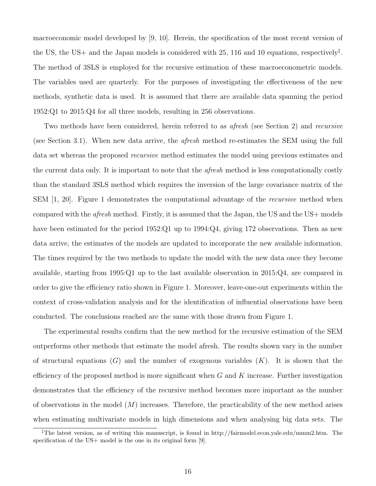<span id="page-16-1"></span>macroeconomic model developed by [\[9,](#page-18-14) [10\]](#page-18-15). Herein, the specification of the most recent version of the US, the US+ and the Japan models is considered with 25, 116 and 10 equations, respectively<sup>†</sup>. The method of 3SLS is employed for the recursive estimation of these macroeconometric models. The variables used are quarterly. For the purposes of investigating the effectiveness of the new methods, synthetic data is used. It is assumed that there are available data spanning the period 1952:Q1 to 2015:Q4 for all three models, resulting in 256 observations.

Two methods have been considered, herein referred to as *afresh* (see Section [2\)](#page-3-1) and *recursive* (see Section [3.1\)](#page-9-3). When new data arrive, the *afresh* method re-estimates the SEM using the full data set whereas the proposed *recursive* method estimates the model using previous estimates and the current data only. It is important to note that the *afresh* method is less computationally costly than the standard 3SLS method which requires the inversion of the large covariance matrix of the SEM [\[1,](#page-17-1) [20\]](#page-18-11). Figure [1](#page-16-1) demonstrates the computational advantage of the *recursive* method when compared with the *afresh* method. Firstly, it is assumed that the Japan, the US and the US+ models have been estimated for the period 1952:Q1 up to 1994:Q4, giving 172 observations. Then as new data arrive, the estimates of the models are updated to incorporate the new available information. The times required by the two methods to update the model with the new data once they become available, starting from 1995:Q1 up to the last available observation in 2015:Q4, are compared in order to give the efficiency ratio shown in Figure [1.](#page-16-1) Moreover, leave-one-out experiments within the context of cross-validation analysis and for the identification of influential observations have been conducted. The conclusions reached are the same with those drawn from Figure [1.](#page-16-1)

<span id="page-16-0"></span>The experimental results confirm that the new method for the recursive estimation of the SEM outperforms other methods that estimate the model afresh. The results shown vary in the number of structural equations  $(G)$  and the number of exogenous variables  $(K)$ . It is shown that the efficiency of the proposed method is more significant when  $G$  and  $K$  increase. Further investigation demonstrates that the efficiency of the recursive method becomes more important as the number of observations in the model  $(M)$  increases. Therefore, the practicability of the new method arises when estimating multivariate models in high dimensions and when analysing big data sets. The

<sup>‡</sup>The latest version, as of writing this manuscript, is found in http://fairmodel.econ.yale.edu/mmm2.htm. The specification of the US+ model is the one in its original form [\[9\]](#page-18-14).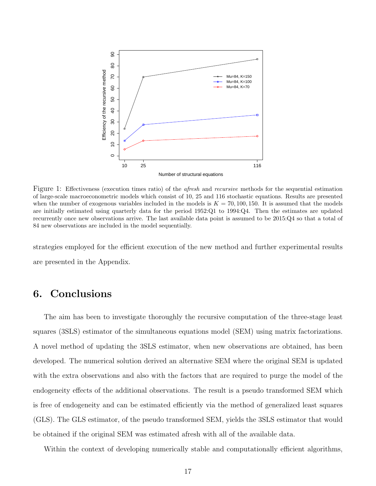

Figure 1: Effectiveness (execution times ratio) of the *afresh* and *recursive* methods for the sequential estimation of large-scale macroeconometric models which consist of 10, 25 and 116 stochastic equations. Results are presented when the number of exogenous variables included in the models is  $K = 70, 100, 150$ . It is assumed that the models are initially estimated using quarterly data for the period 1952:Q1 to 1994:Q4. Then the estimates are updated recurrently once new observations arrive. The last available data point is assumed to be 2015:Q4 so that a total of 84 new observations are included in the model sequentially.

strategies employed for the efficient execution of the new method and further experimental results are presented in the Appendix.

## <span id="page-17-1"></span>6. Conclusions

<span id="page-17-4"></span><span id="page-17-3"></span><span id="page-17-2"></span>The aim has been to investigate thoroughly the recursive computation of the three-stage least squares (3SLS) estimator of the simultaneous equations model (SEM) using matrix factorizations. A novel method of updating the 3SLS estimator, when new observations are obtained, has been developed. The numerical solution derived an alternative SEM where the original SEM is updated with the extra observations and also with the factors that are required to purge the model of the endogeneity effects of the additional observations. The result is a pseudo transformed SEM which is free of endogeneity and can be estimated efficiently via the method of generalized least squares (GLS). The GLS estimator, of the pseudo transformed SEM, yields the 3SLS estimator that would be obtained if the original SEM was estimated afresh with all of the available data.

<span id="page-17-5"></span><span id="page-17-0"></span>Within the context of developing numerically stable and computationally efficient algorithms,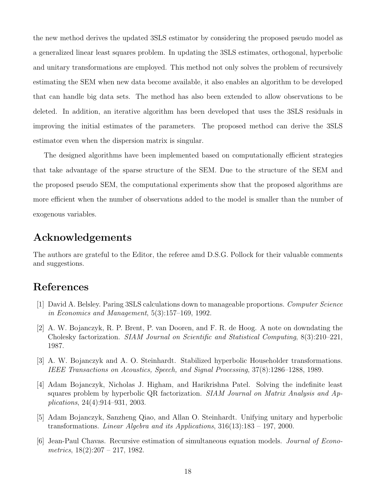<span id="page-18-14"></span><span id="page-18-13"></span><span id="page-18-9"></span>the new method derives the updated 3SLS estimator by considering the proposed pseudo model as a generalized linear least squares problem. In updating the 3SLS estimates, orthogonal, hyperbolic and unitary transformations are employed. This method not only solves the problem of recursively estimating the SEM when new data become available, it also enables an algorithm to be developed that can handle big data sets. The method has also been extended to allow observations to be deleted. In addition, an iterative algorithm has been developed that uses the 3SLS residuals in improving the initial estimates of the parameters. The proposed method can derive the 3SLS estimator even when the dispersion matrix is singular.

<span id="page-18-15"></span><span id="page-18-5"></span><span id="page-18-4"></span><span id="page-18-2"></span>The designed algorithms have been implemented based on computationally efficient strategies that take advantage of the sparse structure of the SEM. Due to the structure of the SEM and the proposed pseudo SEM, the computational experiments show that the proposed algorithms are more efficient when the number of observations added to the model is smaller than the number of exogenous variables.

#### <span id="page-18-6"></span>Acknowledgements

<span id="page-18-3"></span>The authors are grateful to the Editor, the referee amd D.S.G. Pollock for their valuable comments and suggestions.

### <span id="page-18-7"></span>References

- <span id="page-18-8"></span>[1] David A. Belsley. Paring 3SLS calculations down to manageable proportions. *Computer Science in Economics and Management*, 5(3):157–169, 1992.
- <span id="page-18-10"></span>[2] A. W. Bojanczyk, R. P. Brent, P. van Dooren, and F. R. de Hoog. A note on downdating the Cholesky factorization. *SIAM Journal on Scientific and Statistical Computing*, 8(3):210–221, 1987.
- <span id="page-18-0"></span>[3] A. W. Bojanczyk and A. O. Steinhardt. Stabilized hyperbolic Householder transformations. *IEEE Transactions on Acoustics, Speech, and Signal Processing*, 37(8):1286–1288, 1989.
- <span id="page-18-11"></span>[4] Adam Bojanczyk, Nicholas J. Higham, and Harikrishna Patel. Solving the indefinite least squares problem by hyperbolic QR factorization. *SIAM Journal on Matrix Analysis and Applications*, 24(4):914–931, 2003.
- <span id="page-18-1"></span>[5] Adam Bojanczyk, Sanzheng Qiao, and Allan O. Steinhardt. Unifying unitary and hyperbolic transformations. *Linear Algebra and its Applications*, 316(13):183 – 197, 2000.
- <span id="page-18-12"></span>[6] Jean-Paul Chavas. Recursive estimation of simultaneous equation models. *Journal of Econometrics*, 18(2):207 – 217, 1982.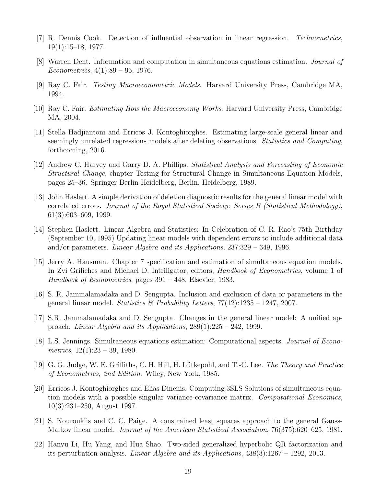- <span id="page-19-8"></span>[7] R. Dennis Cook. Detection of influential observation in linear regression. *Technometrics*, 19(1):15–18, 1977.
- <span id="page-19-9"></span>[8] Warren Dent. Information and computation in simultaneous equations estimation. *Journal of Econometrics*, 4(1):89 – 95, 1976.
- <span id="page-19-2"></span>[9] Ray C. Fair. *Testing Macroeconometric Models*. Harvard University Press, Cambridge MA, 1994.
- <span id="page-19-6"></span>[10] Ray C. Fair. *Estimating How the Macroeconomy Works*. Harvard University Press, Cambridge MA, 2004.
- <span id="page-19-11"></span><span id="page-19-3"></span>[11] Stella Hadjiantoni and Erricos J. Kontoghiorghes. Estimating large-scale general linear and seemingly unrelated regressions models after deleting observations. *Statistics and Computing*, forthcoming, 2016.
- <span id="page-19-7"></span>[12] Andrew C. Harvey and Garry D. A. Phillips. *Statistical Analysis and Forecasting of Economic Structural Change*, chapter Testing for Structural Change in Simultaneous Equation Models, pages 25–36. Springer Berlin Heidelberg, Berlin, Heidelberg, 1989.
- <span id="page-19-4"></span>[13] John Haslett. A simple derivation of deletion diagnostic results for the general linear model with correlated errors. *Journal of the Royal Statistical Society: Series B (Statistical Methodology)*, 61(3):603–609, 1999.
- <span id="page-19-10"></span><span id="page-19-0"></span>[14] Stephen Haslett. Linear Algebra and Statistics: In Celebration of C. R. Rao's 75th Birthday (September 10, 1995) Updating linear models with dependent errors to include additional data and/or parameters. *Linear Algebra and its Applications*, 237:329 – 349, 1996.
- <span id="page-19-5"></span>[15] Jerry A. Hausman. Chapter 7 specification and estimation of simultaneous equation models. In Zvi Griliches and Michael D. Intriligator, editors, *Handbook of Econometrics*, volume 1 of *Handbook of Econometrics*, pages 391 – 448. Elsevier, 1983.
- <span id="page-19-1"></span>[16] S. R. Jammalamadaka and D. Sengupta. Inclusion and exclusion of data or parameters in the general linear model. *Statistics & Probability Letters*, 77(12):1235 – 1247, 2007.
- <span id="page-19-12"></span>[17] S.R. Jammalamadaka and D. Sengupta. Changes in the general linear model: A unified approach. *Linear Algebra and its Applications*, 289(1):225 – 242, 1999.
- [18] L.S. Jennings. Simultaneous equations estimation: Computational aspects. *Journal of Econometrics*, 12(1):23 – 39, 1980.
- [19] G. G. Judge, W. E. Griffiths, C. H. Hill, H. L¨utkepohl, and T.-C. Lee. *The Theory and Practice of Econometrics, 2nd Edition*. Wiley, New York, 1985.
- [20] Erricos J. Kontoghiorghes and Elias Dinenis. Computing 3SLS Solutions of simultaneous equation models with a possible singular variance-covariance matrix. *Computational Economics*, 10(3):231–250, August 1997.
- [21] S. Kourouklis and C. C. Paige. A constrained least squares approach to the general Gauss-Markov linear model. *Journal of the American Statistical Association*, 76(375):620–625, 1981.
- [22] Hanyu Li, Hu Yang, and Hua Shao. Two-sided generalized hyperbolic QR factorization and its perturbation analysis. *Linear Algebra and its Applications*, 438(3):1267 – 1292, 2013.